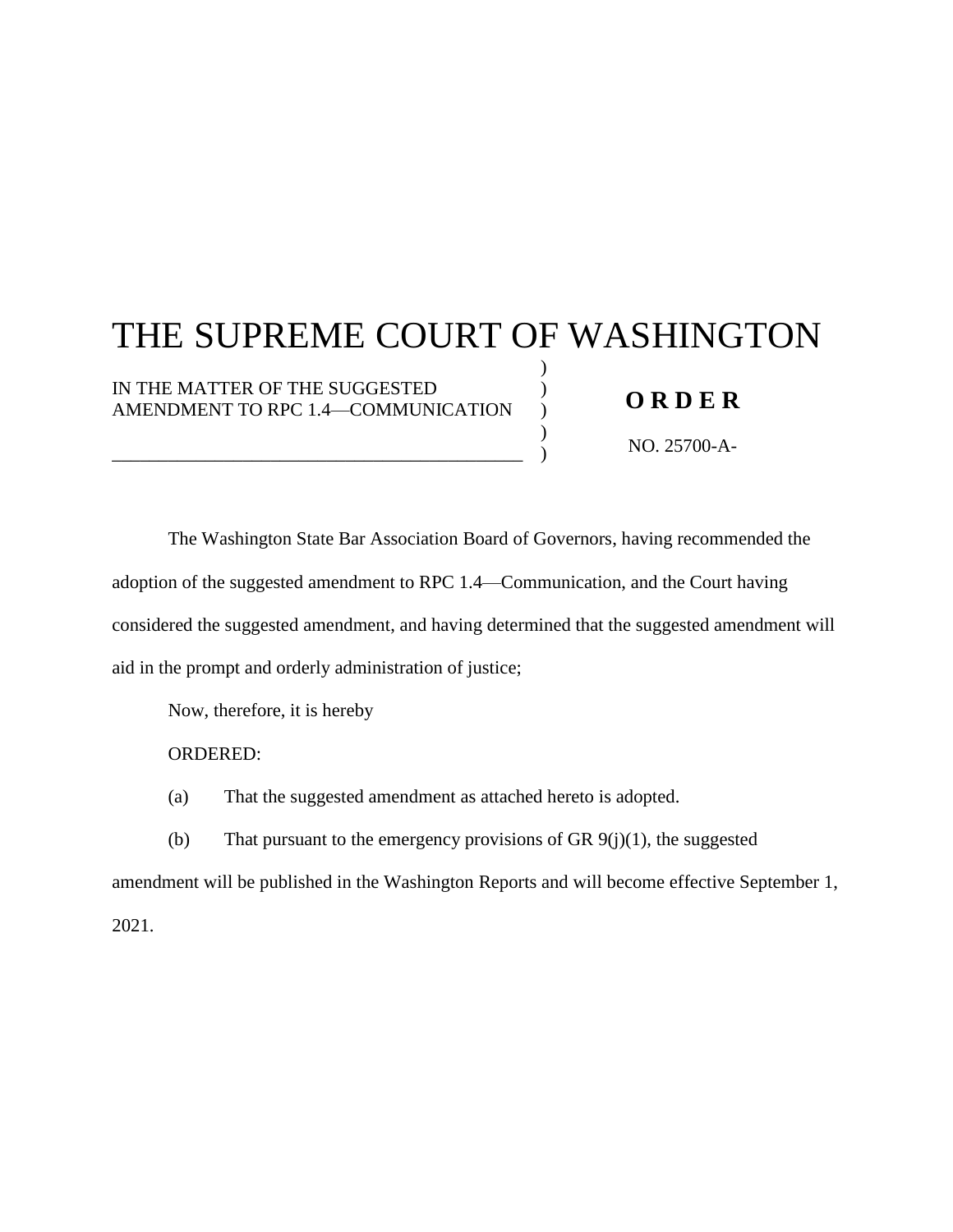**FILED SUPREME COURT STATE OF WASHINGTON JUNE 4, 2021** BY SUSAN L. CARLSON **CLERK** 

# THE SUPREME COURT OF WASHINGTON

) ) )  $\lambda$ )

IN THE MATTER OF THE SUGGESTED AMENDMENT TO RPC 1.4—COMMUNICATION

\_\_\_\_\_\_\_\_\_\_\_\_\_\_\_\_\_\_\_\_\_\_\_\_\_\_\_\_\_\_\_\_\_\_\_\_\_\_\_\_\_\_\_\_

# **O R D E R**

NO. 25700-A-1351

The Washington State Bar Association Board of Governors, having recommended the adoption of the suggested amendment to RPC 1.4—Communication, and the Court having considered the suggested amendment, and having determined that the suggested amendment will aid in the prompt and orderly administration of justice;

Now, therefore, it is hereby

ORDERED:

(a) That the suggested amendment as attached hereto is adopted.

(b) That pursuant to the emergency provisions of GR  $9(j)(1)$ , the suggested

amendment will be published in the Washington Reports and will become effective September 1, 2021.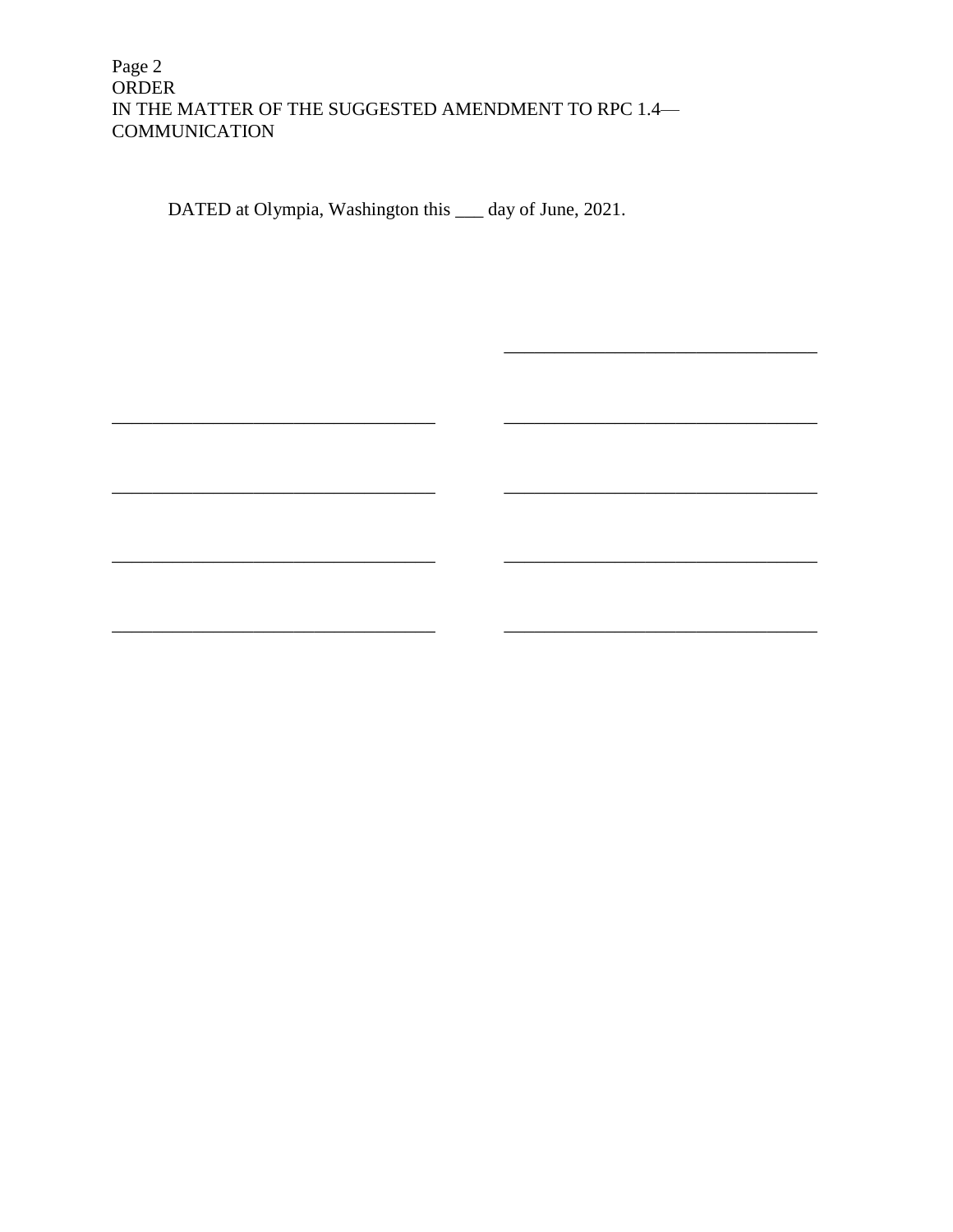## Page 2 ORDER IN THE MATTER OF THE SUGGESTED AMENDMENT TO RPC 1.4— **COMMUNICATION**

DATED at Olympia, Washington this 4th day of June, 2021.

ุห2ร์

González,

Gordon McCloud, J.

racser Madsen, J.

\_\_\_\_\_\_\_\_\_\_\_\_\_\_\_\_\_\_\_\_\_\_\_\_\_\_\_\_\_\_\_\_

Montoya

Stephens, J.

\_\_\_\_\_\_\_\_\_\_\_\_\_\_\_\_\_\_\_\_\_\_\_\_\_\_\_\_\_\_\_\_

Whitener, J.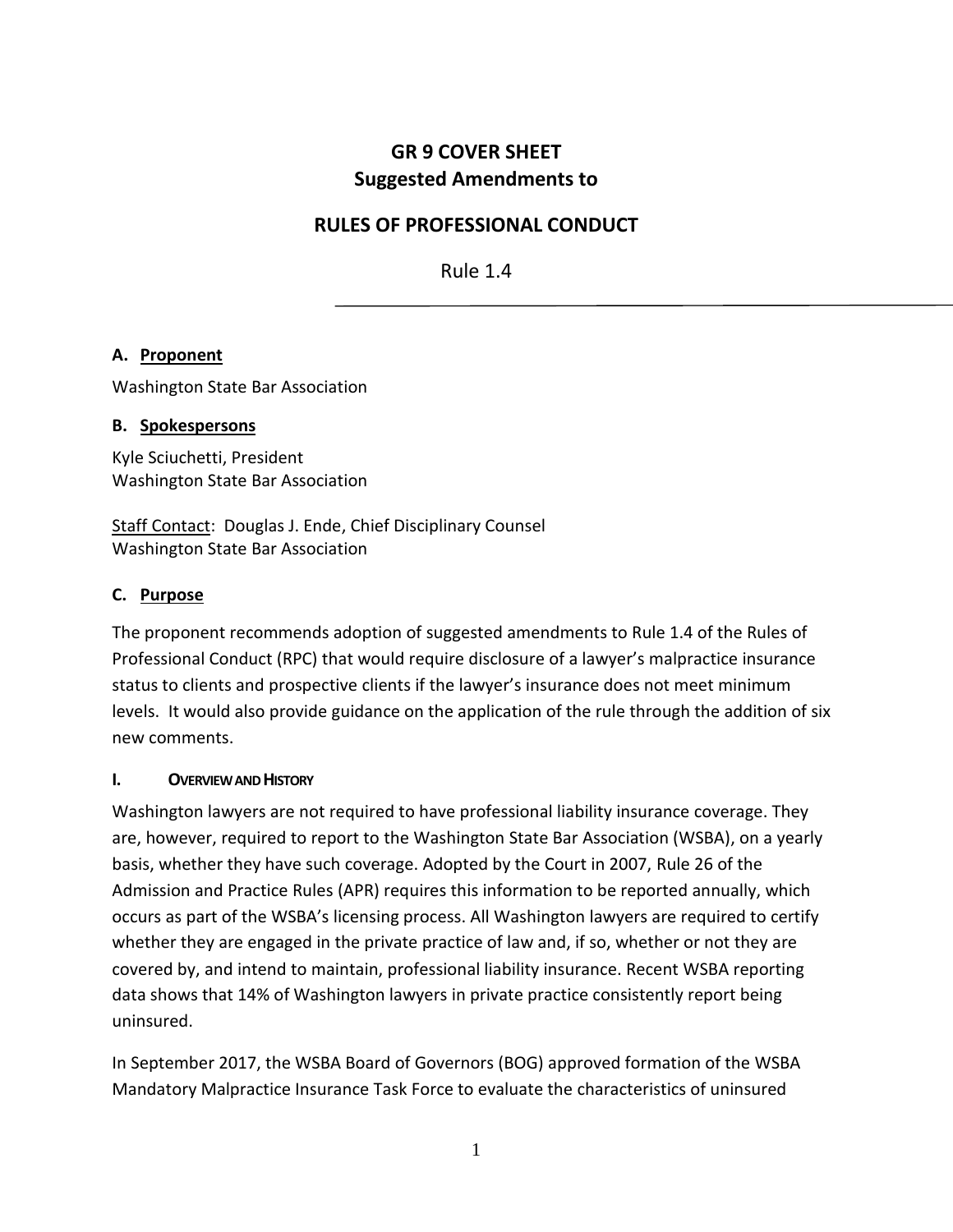# **GR 9 COVER SHEET Suggested Amendments to**

## **RULES OF PROFESSIONAL CONDUCT**

Rule 1.4

## **A. Proponent**

Washington State Bar Association

#### **B. Spokespersons**

Kyle Sciuchetti, President Washington State Bar Association

Staff Contact: Douglas J. Ende, Chief Disciplinary Counsel Washington State Bar Association

## **C. Purpose**

The proponent recommends adoption of suggested amendments to Rule 1.4 of the Rules of Professional Conduct (RPC) that would require disclosure of a lawyer's malpractice insurance status to clients and prospective clients if the lawyer's insurance does not meet minimum levels. It would also provide guidance on the application of the rule through the addition of six new comments.

## **I. OVERVIEWAND HISTORY**

Washington lawyers are not required to have professional liability insurance coverage. They are, however, required to report to the Washington State Bar Association (WSBA), on a yearly basis, whether they have such coverage. Adopted by the Court in 2007, Rule 26 of the Admission and Practice Rules (APR) requires this information to be reported annually, which occurs as part of the WSBA's licensing process. All Washington lawyers are required to certify whether they are engaged in the private practice of law and, if so, whether or not they are covered by, and intend to maintain, professional liability insurance. Recent WSBA reporting data shows that 14% of Washington lawyers in private practice consistently report being uninsured.

In September 2017, the WSBA Board of Governors (BOG) approved formation of the WSBA Mandatory Malpractice Insurance Task Force to evaluate the characteristics of uninsured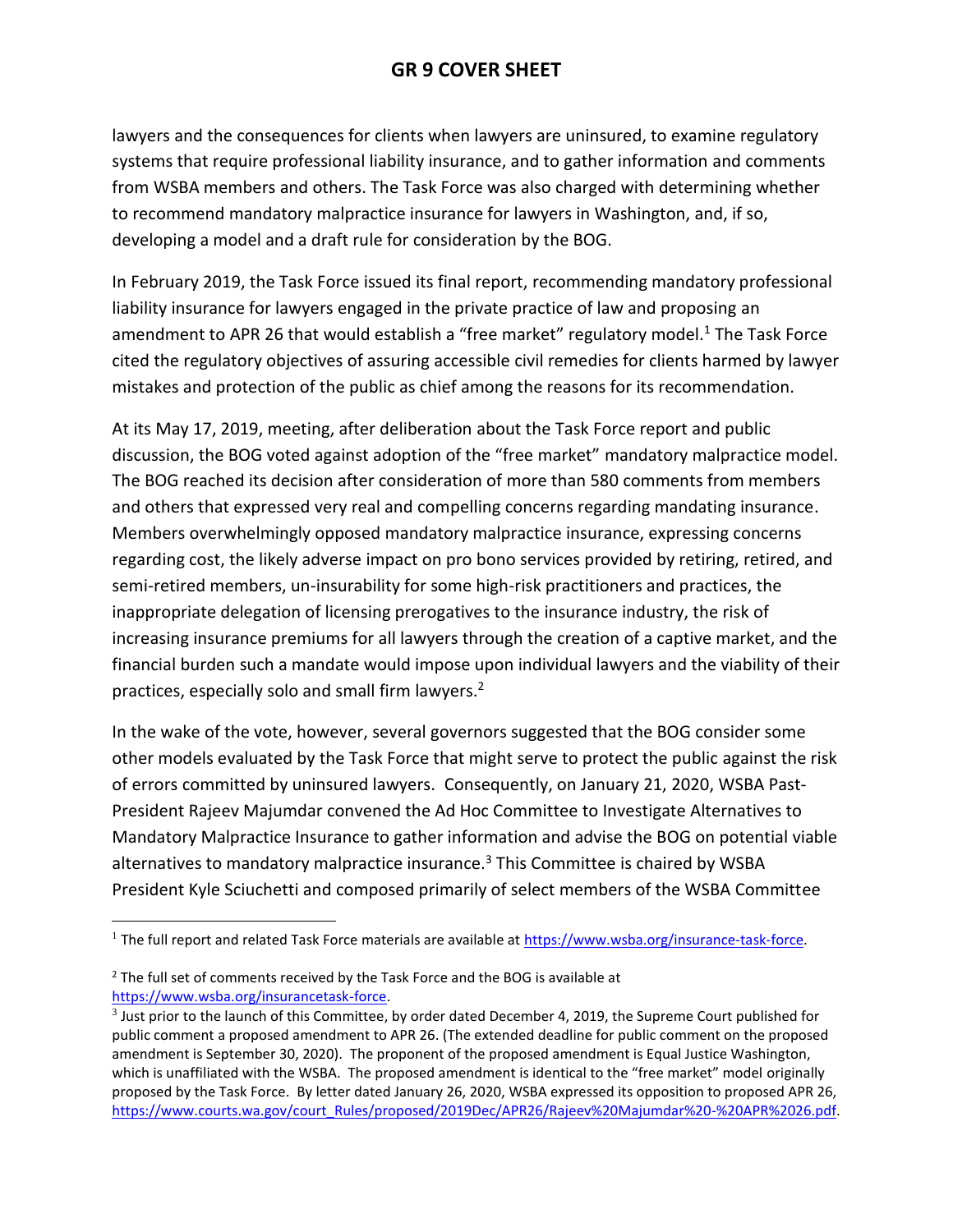# **GR 9 COVER SHEET**

lawyers and the consequences for clients when lawyers are uninsured, to examine regulatory systems that require professional liability insurance, and to gather information and comments from WSBA members and others. The Task Force was also charged with determining whether to recommend mandatory malpractice insurance for lawyers in Washington, and, if so, developing a model and a draft rule for consideration by the BOG.

In February 2019, the Task Force issued its final report, recommending mandatory professional liability insurance for lawyers engaged in the private practice of law and proposing an amendment to APR 26 that would establish a "free market" regulatory model.<sup>1</sup> The Task Force cited the regulatory objectives of assuring accessible civil remedies for clients harmed by lawyer mistakes and protection of the public as chief among the reasons for its recommendation.

At its May 17, 2019, meeting, after deliberation about the Task Force report and public discussion, the BOG voted against adoption of the "free market" mandatory malpractice model. The BOG reached its decision after consideration of more than 580 comments from members and others that expressed very real and compelling concerns regarding mandating insurance. Members overwhelmingly opposed mandatory malpractice insurance, expressing concerns regarding cost, the likely adverse impact on pro bono services provided by retiring, retired, and semi-retired members, un-insurability for some high-risk practitioners and practices, the inappropriate delegation of licensing prerogatives to the insurance industry, the risk of increasing insurance premiums for all lawyers through the creation of a captive market, and the financial burden such a mandate would impose upon individual lawyers and the viability of their practices, especially solo and small firm lawyers.<sup>2</sup>

In the wake of the vote, however, several governors suggested that the BOG consider some other models evaluated by the Task Force that might serve to protect the public against the risk of errors committed by uninsured lawyers. Consequently, on January 21, 2020, WSBA Past-President Rajeev Majumdar convened the Ad Hoc Committee to Investigate Alternatives to Mandatory Malpractice Insurance to gather information and advise the BOG on potential viable alternatives to mandatory malpractice insurance.<sup>3</sup> This Committee is chaired by WSBA President Kyle Sciuchetti and composed primarily of select members of the WSBA Committee

 $\overline{a}$ 

<sup>&</sup>lt;sup>1</sup> The full report and related Task Force materials are available at [https://www.wsba.org/insurance-task-force.](https://www.wsba.org/insurance-task-force)

<sup>&</sup>lt;sup>2</sup> The full set of comments received by the Task Force and the BOG is available at [https://www.wsba.org/insurancetask-force.](https://www.wsba.org/insurancetask-force)

 $3$  Just prior to the launch of this Committee, by order dated December 4, 2019, the Supreme Court published for public comment a proposed amendment to APR 26. (The extended deadline for public comment on the proposed amendment is September 30, 2020). The proponent of the proposed amendment is Equal Justice Washington, which is unaffiliated with the WSBA. The proposed amendment is identical to the "free market" model originally proposed by the Task Force. By letter dated January 26, 2020, WSBA expressed its opposition to proposed APR 26, [https://www.courts.wa.gov/court\\_Rules/proposed/2019Dec/APR26/Rajeev%20Majumdar%20-%20APR%2026.pdf.](https://www.courts.wa.gov/court_Rules/proposed/2019Dec/APR26/Rajeev%20Majumdar%20-%20APR%2026.pdf)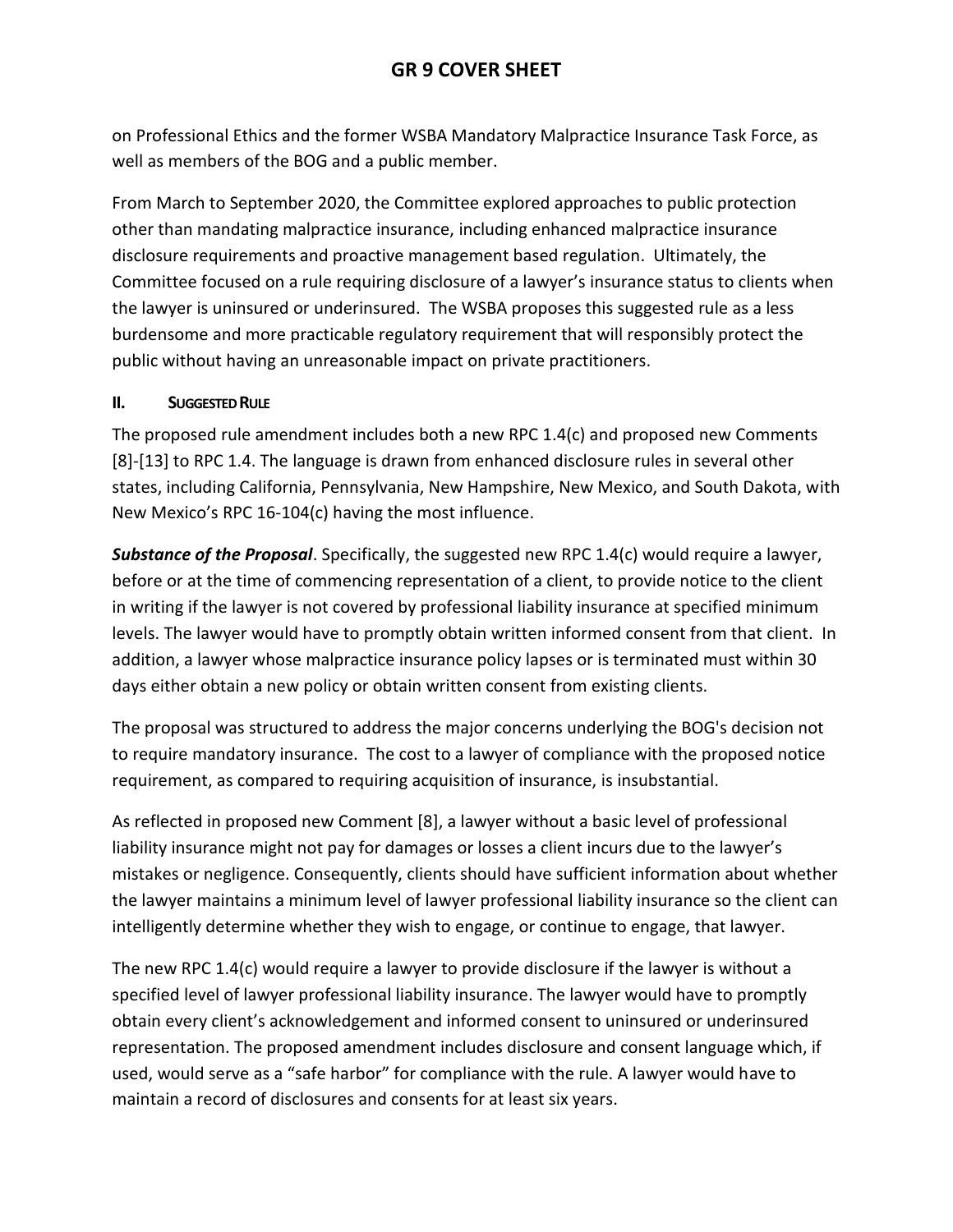on Professional Ethics and the former WSBA Mandatory Malpractice Insurance Task Force, as well as members of the BOG and a public member.

From March to September 2020, the Committee explored approaches to public protection other than mandating malpractice insurance, including enhanced malpractice insurance disclosure requirements and proactive management based regulation. Ultimately, the Committee focused on a rule requiring disclosure of a lawyer's insurance status to clients when the lawyer is uninsured or underinsured. The WSBA proposes this suggested rule as a less burdensome and more practicable regulatory requirement that will responsibly protect the public without having an unreasonable impact on private practitioners.

## **II. SUGGESTED RULE**

The proposed rule amendment includes both a new RPC 1.4(c) and proposed new Comments [8]-[13] to RPC 1.4. The language is drawn from enhanced disclosure rules in several other states, including California, Pennsylvania, New Hampshire, New Mexico, and South Dakota, with New Mexico's RPC 16-104(c) having the most influence.

*Substance of the Proposal*. Specifically, the suggested new RPC 1.4(c) would require a lawyer, before or at the time of commencing representation of a client, to provide notice to the client in writing if the lawyer is not covered by professional liability insurance at specified minimum levels. The lawyer would have to promptly obtain written informed consent from that client. In addition, a lawyer whose malpractice insurance policy lapses or is terminated must within 30 days either obtain a new policy or obtain written consent from existing clients.

The proposal was structured to address the major concerns underlying the BOG's decision not to require mandatory insurance. The cost to a lawyer of compliance with the proposed notice requirement, as compared to requiring acquisition of insurance, is insubstantial.

As reflected in proposed new Comment [8], a lawyer without a basic level of professional liability insurance might not pay for damages or losses a client incurs due to the lawyer's mistakes or negligence. Consequently, clients should have sufficient information about whether the lawyer maintains a minimum level of lawyer professional liability insurance so the client can intelligently determine whether they wish to engage, or continue to engage, that lawyer.

The new RPC 1.4(c) would require a lawyer to provide disclosure if the lawyer is without a specified level of lawyer professional liability insurance. The lawyer would have to promptly obtain every client's acknowledgement and informed consent to uninsured or underinsured representation. The proposed amendment includes disclosure and consent language which, if used, would serve as a "safe harbor" for compliance with the rule. A lawyer would have to maintain a record of disclosures and consents for at least six years.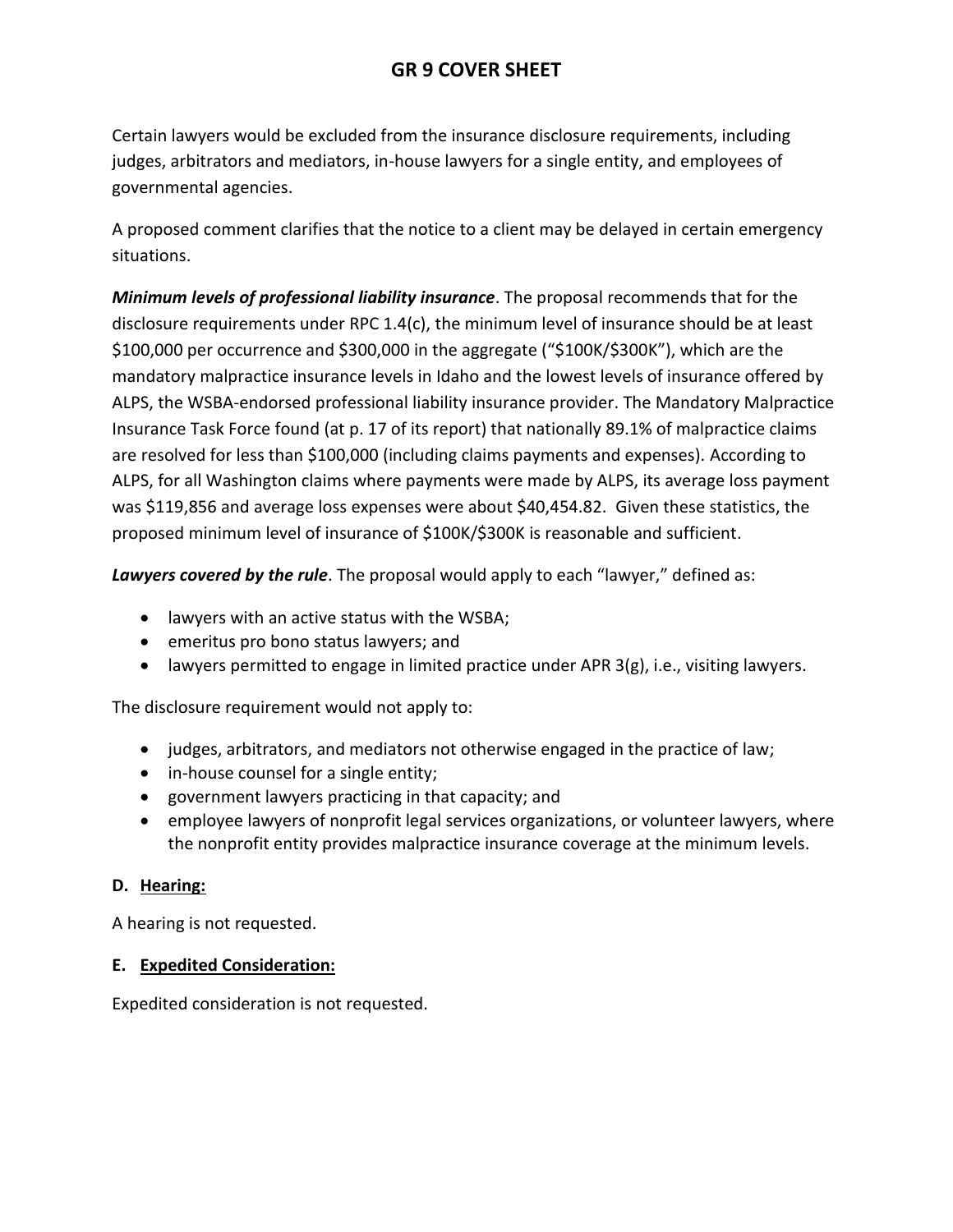# **GR 9 COVER SHEET**

Certain lawyers would be excluded from the insurance disclosure requirements, including judges, arbitrators and mediators, in-house lawyers for a single entity, and employees of governmental agencies.

A proposed comment clarifies that the notice to a client may be delayed in certain emergency situations.

*Minimum levels of professional liability insurance*. The proposal recommends that for the disclosure requirements under RPC 1.4(c), the minimum level of insurance should be at least \$100,000 per occurrence and \$300,000 in the aggregate ("\$100K/\$300K"), which are the mandatory malpractice insurance levels in Idaho and the lowest levels of insurance offered by ALPS, the WSBA-endorsed professional liability insurance provider. The Mandatory Malpractice Insurance Task Force found (at p. 17 of its report) that nationally 89.1% of malpractice claims are resolved for less than \$100,000 (including claims payments and expenses). According to ALPS, for all Washington claims where payments were made by ALPS, its average loss payment was \$119,856 and average loss expenses were about \$40,454.82. Given these statistics, the proposed minimum level of insurance of \$100K/\$300K is reasonable and sufficient.

*Lawyers covered by the rule*. The proposal would apply to each "lawyer," defined as:

- lawyers with an active status with the WSBA;
- emeritus pro bono status lawyers; and
- $\bullet$  lawyers permitted to engage in limited practice under APR 3(g), i.e., visiting lawyers.

The disclosure requirement would not apply to:

- judges, arbitrators, and mediators not otherwise engaged in the practice of law;
- in-house counsel for a single entity;
- government lawyers practicing in that capacity; and
- employee lawyers of nonprofit legal services organizations, or volunteer lawyers, where the nonprofit entity provides malpractice insurance coverage at the minimum levels.

## **D. Hearing:**

A hearing is not requested.

## **E. Expedited Consideration:**

Expedited consideration is not requested.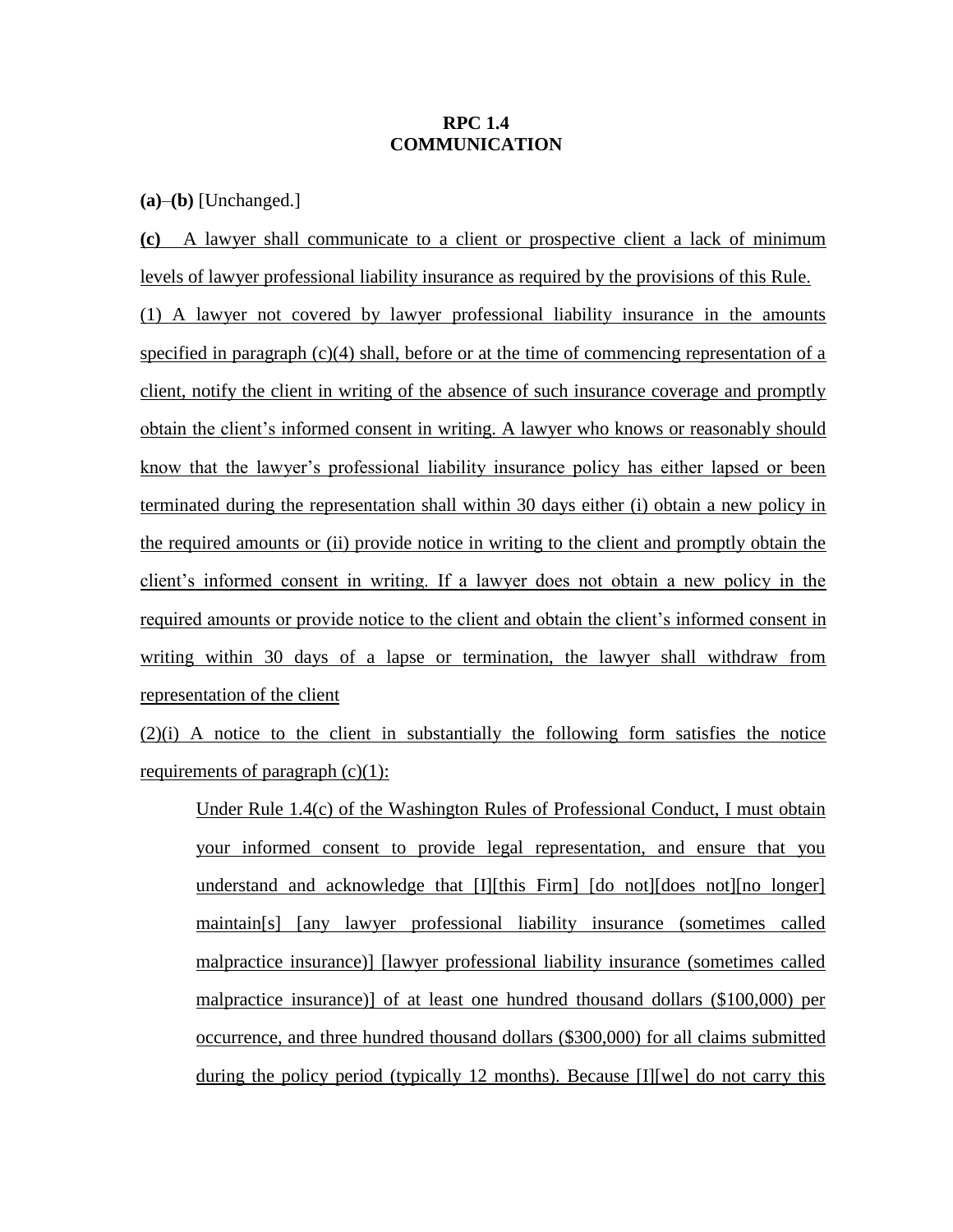#### **RPC 1.4 COMMUNICATION**

**(a)**–**(b)** [Unchanged.]

**(c)** A lawyer shall communicate to a client or prospective client a lack of minimum levels of lawyer professional liability insurance as required by the provisions of this Rule. (1) A lawyer not covered by lawyer professional liability insurance in the amounts specified in paragraph  $(c)(4)$  shall, before or at the time of commencing representation of a client, notify the client in writing of the absence of such insurance coverage and promptly obtain the client's informed consent in writing. A lawyer who knows or reasonably should know that the lawyer's professional liability insurance policy has either lapsed or been terminated during the representation shall within 30 days either (i) obtain a new policy in the required amounts or (ii) provide notice in writing to the client and promptly obtain the client's informed consent in writing. If a lawyer does not obtain a new policy in the required amounts or provide notice to the client and obtain the client's informed consent in writing within 30 days of a lapse or termination, the lawyer shall withdraw from representation of the client

(2)(i) A notice to the client in substantially the following form satisfies the notice requirements of paragraph  $(c)(1)$ :

Under Rule 1.4(c) of the Washington Rules of Professional Conduct, I must obtain your informed consent to provide legal representation, and ensure that you understand and acknowledge that [I][this Firm] [do not][does not][no longer] maintain[s] [any lawyer professional liability insurance (sometimes called malpractice insurance)] [lawyer professional liability insurance (sometimes called malpractice insurance)] of at least one hundred thousand dollars (\$100,000) per occurrence, and three hundred thousand dollars (\$300,000) for all claims submitted during the policy period (typically 12 months). Because [I][we] do not carry this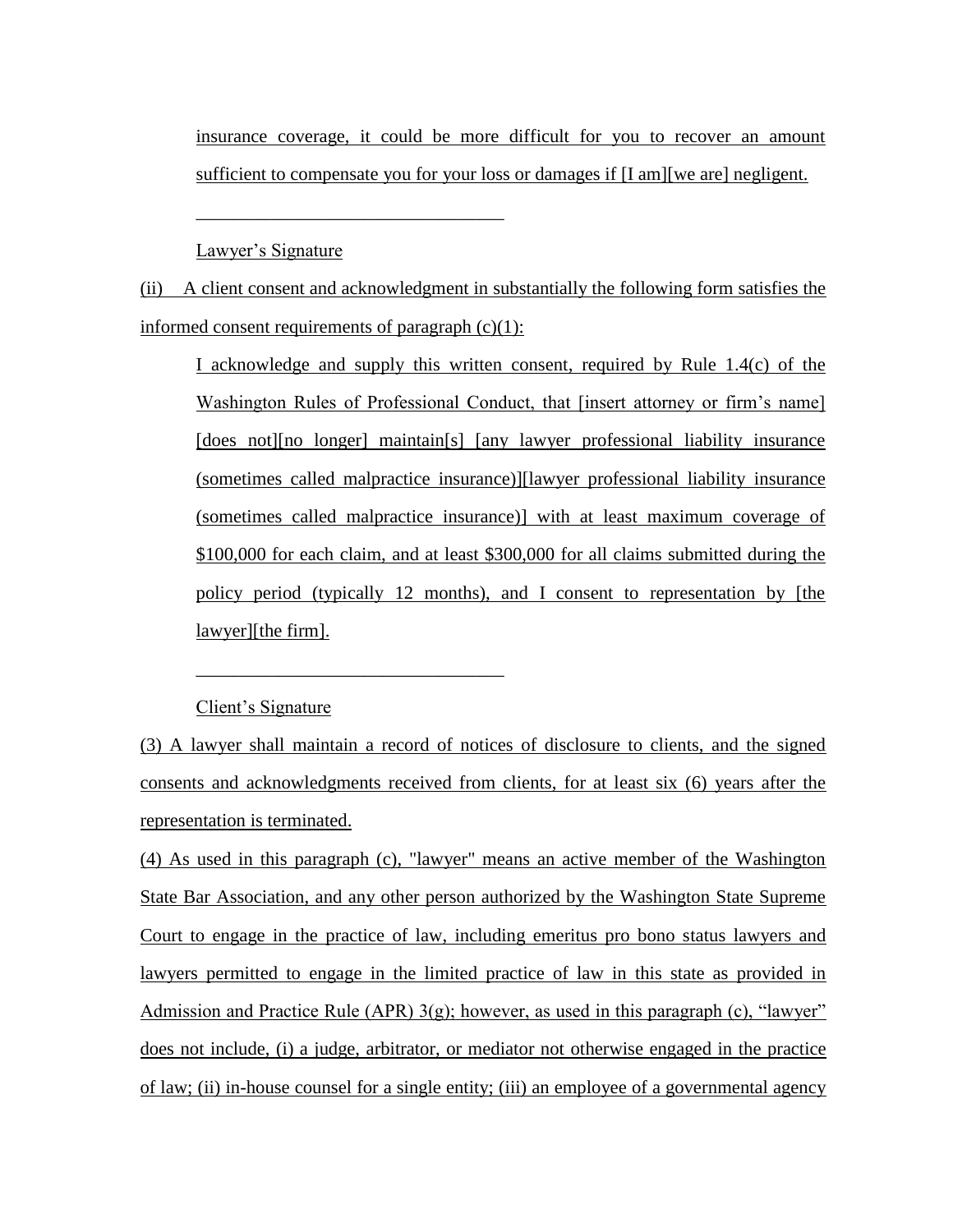insurance coverage, it could be more difficult for you to recover an amount sufficient to compensate you for your loss or damages if [I am][we are] negligent.

Lawyer's Signature

\_\_\_\_\_\_\_\_\_\_\_\_\_\_\_\_\_\_\_\_\_\_\_\_\_\_\_\_\_\_\_\_\_

\_\_\_\_\_\_\_\_\_\_\_\_\_\_\_\_\_\_\_\_\_\_\_\_\_\_\_\_\_\_\_\_\_

(ii) A client consent and acknowledgment in substantially the following form satisfies the informed consent requirements of paragraph  $(c)(1)$ :

I acknowledge and supply this written consent, required by Rule 1.4(c) of the Washington Rules of Professional Conduct, that [insert attorney or firm's name] [does not][no longer] maintain[s] [any lawyer professional liability insurance (sometimes called malpractice insurance)][lawyer professional liability insurance (sometimes called malpractice insurance)] with at least maximum coverage of \$100,000 for each claim, and at least \$300,000 for all claims submitted during the policy period (typically 12 months), and I consent to representation by [the lawyer][the firm].

#### Client's Signature

(3) A lawyer shall maintain a record of notices of disclosure to clients, and the signed consents and acknowledgments received from clients, for at least six (6) years after the representation is terminated.

(4) As used in this paragraph (c), "lawyer" means an active member of the Washington State Bar Association, and any other person authorized by the Washington State Supreme Court to engage in the practice of law, including emeritus pro bono status lawyers and lawyers permitted to engage in the limited practice of law in this state as provided in Admission and Practice Rule (APR)  $3(g)$ ; however, as used in this paragraph (c), "lawyer" does not include, (i) a judge, arbitrator, or mediator not otherwise engaged in the practice of law; (ii) in-house counsel for a single entity; (iii) an employee of a governmental agency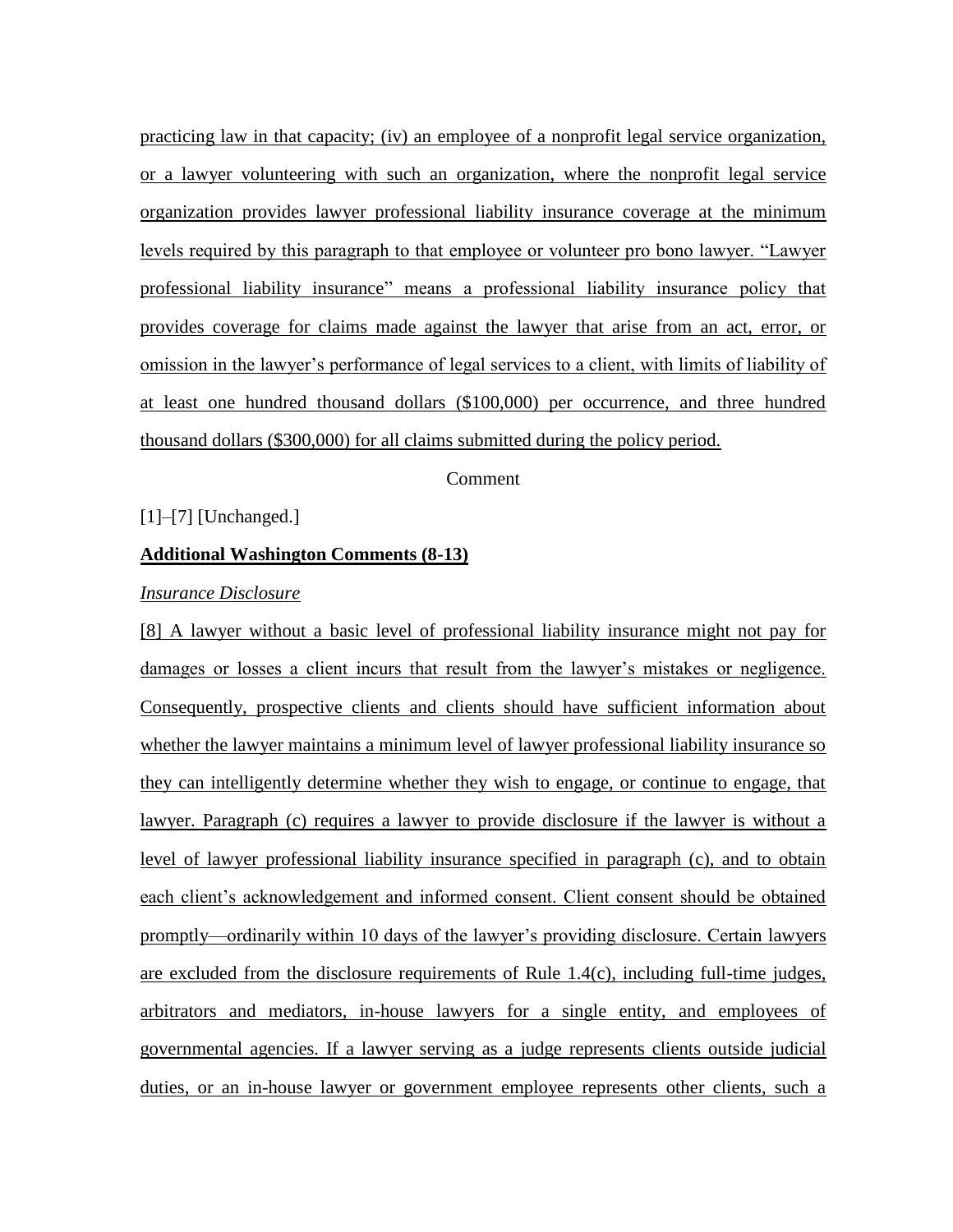practicing law in that capacity; (iv) an employee of a nonprofit legal service organization, or a lawyer volunteering with such an organization, where the nonprofit legal service organization provides lawyer professional liability insurance coverage at the minimum levels required by this paragraph to that employee or volunteer pro bono lawyer. "Lawyer professional liability insurance" means a professional liability insurance policy that provides coverage for claims made against the lawyer that arise from an act, error, or omission in the lawyer's performance of legal services to a client, with limits of liability of at least one hundred thousand dollars (\$100,000) per occurrence, and three hundred thousand dollars (\$300,000) for all claims submitted during the policy period.

#### Comment

#### [1]–[7] [Unchanged.]

## **Additional Washington Comments (8-13)**

#### *Insurance Disclosure*

[8] A lawyer without a basic level of professional liability insurance might not pay for damages or losses a client incurs that result from the lawyer's mistakes or negligence. Consequently, prospective clients and clients should have sufficient information about whether the lawyer maintains a minimum level of lawyer professional liability insurance so they can intelligently determine whether they wish to engage, or continue to engage, that lawyer. Paragraph (c) requires a lawyer to provide disclosure if the lawyer is without a level of lawyer professional liability insurance specified in paragraph (c), and to obtain each client's acknowledgement and informed consent. Client consent should be obtained promptly—ordinarily within 10 days of the lawyer's providing disclosure. Certain lawyers are excluded from the disclosure requirements of Rule  $1.4(c)$ , including full-time judges, arbitrators and mediators, in-house lawyers for a single entity, and employees of governmental agencies. If a lawyer serving as a judge represents clients outside judicial duties, or an in-house lawyer or government employee represents other clients, such a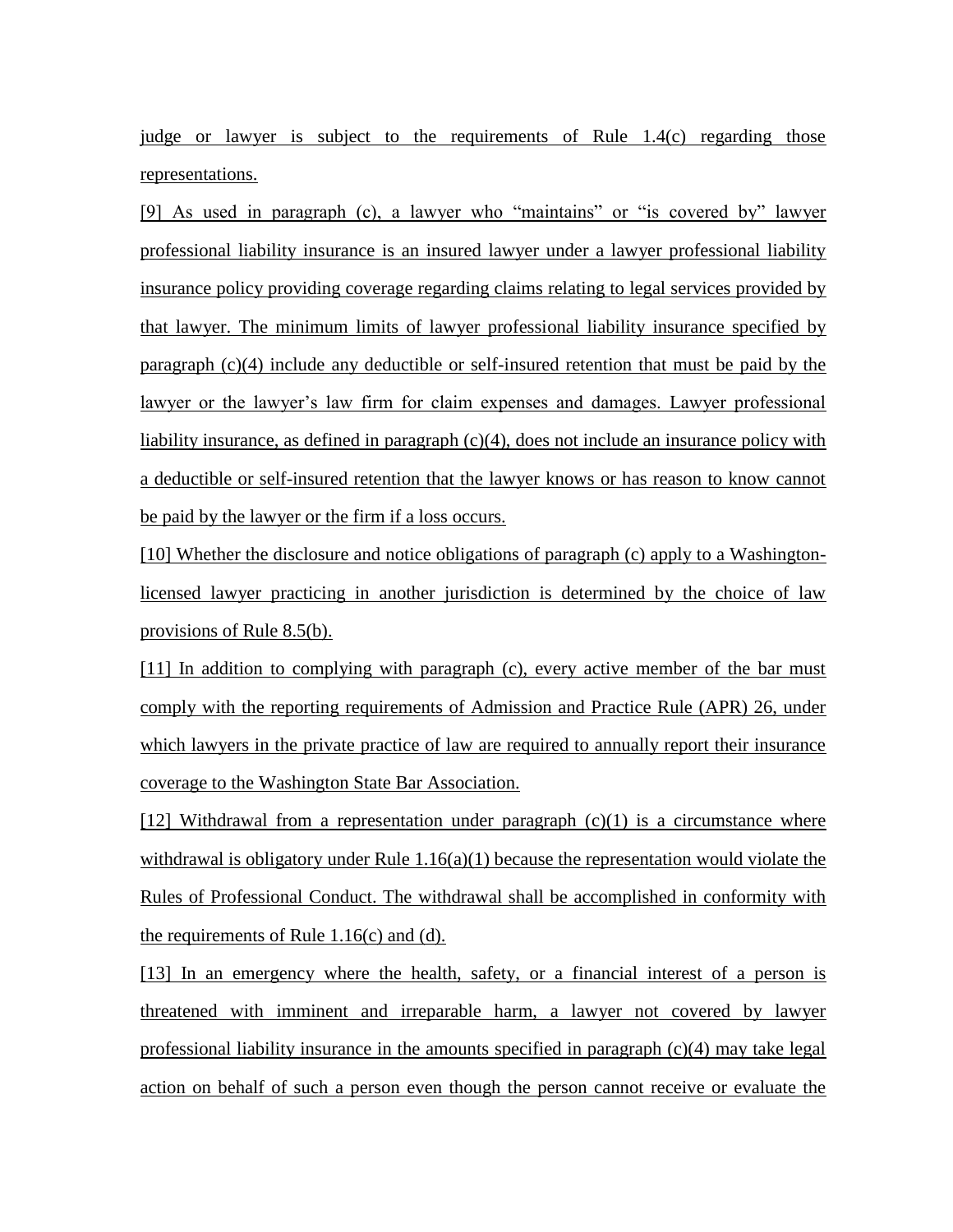judge or lawyer is subject to the requirements of Rule 1.4(c) regarding those representations.

[9] As used in paragraph (c), a lawyer who "maintains" or "is covered by" lawyer professional liability insurance is an insured lawyer under a lawyer professional liability insurance policy providing coverage regarding claims relating to legal services provided by that lawyer. The minimum limits of lawyer professional liability insurance specified by paragraph (c)(4) include any deductible or self-insured retention that must be paid by the lawyer or the lawyer's law firm for claim expenses and damages. Lawyer professional liability insurance, as defined in paragraph (c)(4), does not include an insurance policy with a deductible or self-insured retention that the lawyer knows or has reason to know cannot be paid by the lawyer or the firm if a loss occurs.

[10] Whether the disclosure and notice obligations of paragraph (c) apply to a Washingtonlicensed lawyer practicing in another jurisdiction is determined by the choice of law provisions of Rule 8.5(b).

[11] In addition to complying with paragraph (c), every active member of the bar must comply with the reporting requirements of Admission and Practice Rule (APR) 26, under which lawyers in the private practice of law are required to annually report their insurance coverage to the Washington State Bar Association.

[12] Withdrawal from a representation under paragraph  $(c)(1)$  is a circumstance where withdrawal is obligatory under Rule  $1.16(a)(1)$  because the representation would violate the Rules of Professional Conduct. The withdrawal shall be accomplished in conformity with the requirements of Rule 1.16(c) and (d).

[13] In an emergency where the health, safety, or a financial interest of a person is threatened with imminent and irreparable harm, a lawyer not covered by lawyer professional liability insurance in the amounts specified in paragraph (c)(4) may take legal action on behalf of such a person even though the person cannot receive or evaluate the